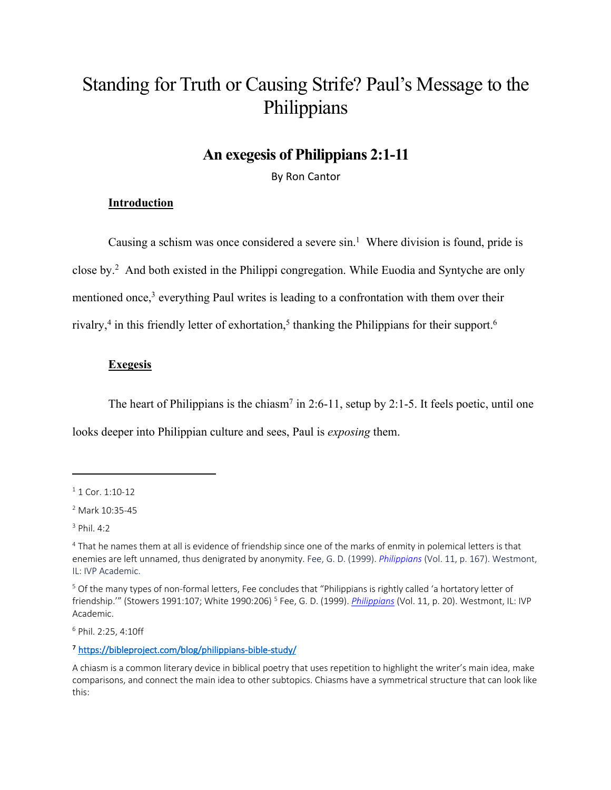# Standing for Truth or Causing Strife? Paul's Message to the Philippians

## **An exegesis of Philippians 2:1-11**

By Ron Cantor

#### **Introduction**

Causing a schism was once considered a severe sin. <sup>1</sup> Where division is found, pride is close by. <sup>2</sup> And both existed in the Philippi congregation. While Euodia and Syntyche are only mentioned once,<sup>3</sup> everything Paul writes is leading to a confrontation with them over their rivalry,<sup>4</sup> in this friendly letter of exhortation,<sup>5</sup> thanking the Philippians for their support.<sup>6</sup>

#### **Exegesis**

The heart of Philippians is the chiasm<sup>7</sup> in 2:6-11, setup by 2:1-5. It feels poetic, until one

looks deeper into Philippian culture and sees, Paul is *exposing* them.

<sup>6</sup> Phil. 2:25, 4:10ff

#### 7 https://bibleproject.com/blog/philippians-bible-study/

 $1$  1 Cor. 1:10-12

<sup>2</sup> Mark 10:35-45

<sup>3</sup> Phil. 4:2

<sup>4</sup> That he names them at all is evidence of friendship since one of the marks of enmity in polemical letters is that enemies are left unnamed, thus denigrated by anonymity. Fee, G. D. (1999). *Philippians* (Vol. 11, p. 167). Westmont, IL: IVP Academic.

<sup>&</sup>lt;sup>5</sup> Of the many types of non-formal letters, Fee concludes that "Philippians is rightly called 'a hortatory letter of friendship.'" (Stowers 1991:107; White 1990:206) <sup>5</sup> Fee, G. D. (1999). *Philippians* (Vol. 11, p. 20). Westmont, IL: IVP Academic.

A chiasm is a common literary device in biblical poetry that uses repetition to highlight the writer's main idea, make comparisons, and connect the main idea to other subtopics. Chiasms have a symmetrical structure that can look like this: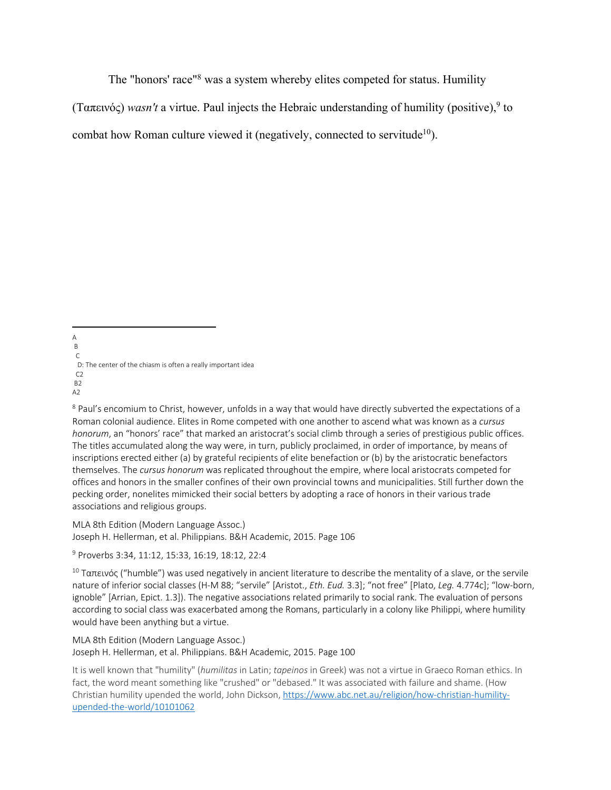The "honors' race"8 was a system whereby elites competed for status. Humility

(Ταπεινός) *wasn't* a virtue. Paul injects the Hebraic understanding of humility (positive), <sup>9</sup> to

combat how Roman culture viewed it (negatively, connected to servitude<sup>10</sup>).

A B C D: The center of the chiasm is often a really important idea  $C<sub>2</sub>$ B2 A2

<sup>8</sup> Paul's encomium to Christ, however, unfolds in a way that would have directly subverted the expectations of a Roman colonial audience. Elites in Rome competed with one another to ascend what was known as a *cursus honorum*, an "honors' race" that marked an aristocrat's social climb through a series of prestigious public offices. The titles accumulated along the way were, in turn, publicly proclaimed, in order of importance, by means of inscriptions erected either (a) by grateful recipients of elite benefaction or (b) by the aristocratic benefactors themselves. The *cursus honorum* was replicated throughout the empire, where local aristocrats competed for offices and honors in the smaller confines of their own provincial towns and municipalities. Still further down the pecking order, nonelites mimicked their social betters by adopting a race of honors in their various trade associations and religious groups.

MLA 8th Edition (Modern Language Assoc.) Joseph H. Hellerman, et al. Philippians. B&H Academic, 2015. Page 106

<sup>9</sup> Proverbs 3:34, 11:12, 15:33, 16:19, 18:12, 22:4

<sup>10</sup> Ταπεινός ("humble") was used negatively in ancient literature to describe the mentality of a slave, or the servile nature of inferior social classes (H-M 88; "servile" [Aristot., *Eth. Eud.* 3.3]; "not free" [Plato, *Leg.* 4.774c]; "low-born, ignoble" [Arrian, Epict. 1.3]). The negative associations related primarily to social rank. The evaluation of persons according to social class was exacerbated among the Romans, particularly in a colony like Philippi, where humility would have been anything but a virtue.

MLA 8th Edition (Modern Language Assoc.) Joseph H. Hellerman, et al. Philippians. B&H Academic, 2015. Page 100

It is well known that "humility" (*humilitas* in Latin; *tapeinos* in Greek) was not a virtue in Graeco Roman ethics. In fact, the word meant something like "crushed" or "debased." It was associated with failure and shame. (How Christian humility upended the world, John Dickson, https://www.abc.net.au/religion/how-christian-humilityupended-the-world/10101062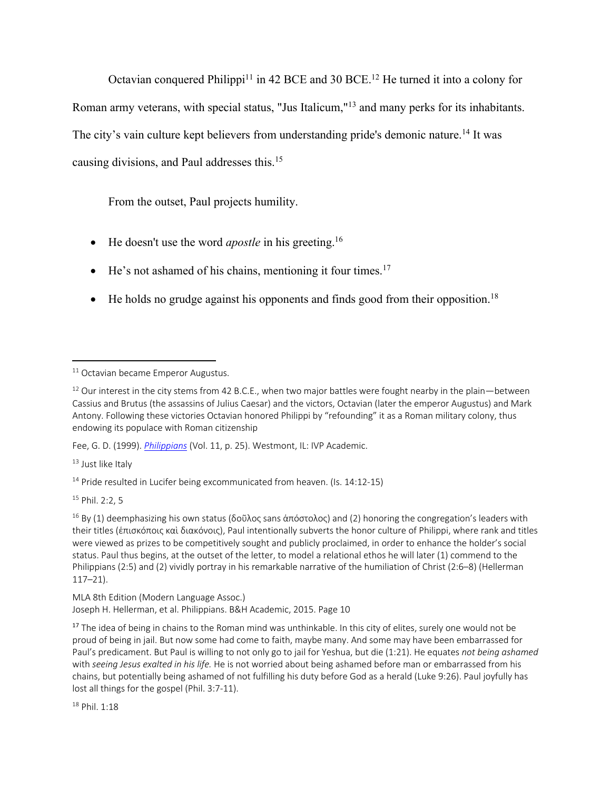Octavian conquered Philippi<sup>11</sup> in 42 BCE and 30 BCE.<sup>12</sup> He turned it into a colony for Roman army veterans, with special status, "Jus Italicum,"13 and many perks for its inhabitants. The city's vain culture kept believers from understanding pride's demonic nature.<sup>14</sup> It was causing divisions, and Paul addresses this. 15

From the outset, Paul projects humility.

- He doesn't use the word *apostle* in his greeting.<sup>16</sup>
- He's not ashamed of his chains, mentioning it four times.<sup>17</sup>
- He holds no grudge against his opponents and finds good from their opposition.<sup>18</sup>

Fee, G. D. (1999). *Philippians* (Vol. 11, p. 25). Westmont, IL: IVP Academic.

<sup>13</sup> Just like Italy

<sup>14</sup> Pride resulted in Lucifer being excommunicated from heaven. (Is. 14:12-15)

<sup>15</sup> Phil. 2:2, 5

<sup>16</sup> By (1) deemphasizing his own status (δοῦλος sans άπόστολος) and (2) honoring the congregation's leaders with their titles (ἐπισκόποις καὶ διακόνοις), Paul intentionally subverts the honor culture of Philippi, where rank and titles were viewed as prizes to be competitively sought and publicly proclaimed, in order to enhance the holder's social status. Paul thus begins, at the outset of the letter, to model a relational ethos he will later (1) commend to the Philippians (2:5) and (2) vividly portray in his remarkable narrative of the humiliation of Christ (2:6–8) (Hellerman 117–21).

MLA 8th Edition (Modern Language Assoc.) Joseph H. Hellerman, et al. Philippians. B&H Academic, 2015. Page 10

<sup>17</sup> The idea of being in chains to the Roman mind was unthinkable. In this city of elites, surely one would not be proud of being in jail. But now some had come to faith, maybe many. And some may have been embarrassed for Paul's predicament. But Paul is willing to not only go to jail for Yeshua, but die (1:21). He equates *not being ashamed*  with *seeing Jesus exalted in his life.* He is not worried about being ashamed before man or embarrassed from his chains, but potentially being ashamed of not fulfilling his duty before God as a herald (Luke 9:26). Paul joyfully has lost all things for the gospel (Phil. 3:7-11).

 $18$  Phil  $1.18$ 

<sup>&</sup>lt;sup>11</sup> Octavian became Emperor Augustus.

<sup>&</sup>lt;sup>12</sup> Our interest in the city stems from 42 B.C.E., when two major battles were fought nearby in the plain—between Cassius and Brutus (the assassins of Julius Caesar) and the victors, Octavian (later the emperor Augustus) and Mark Antony. Following these victories Octavian honored Philippi by "refounding" it as a Roman military colony, thus endowing its populace with Roman citizenship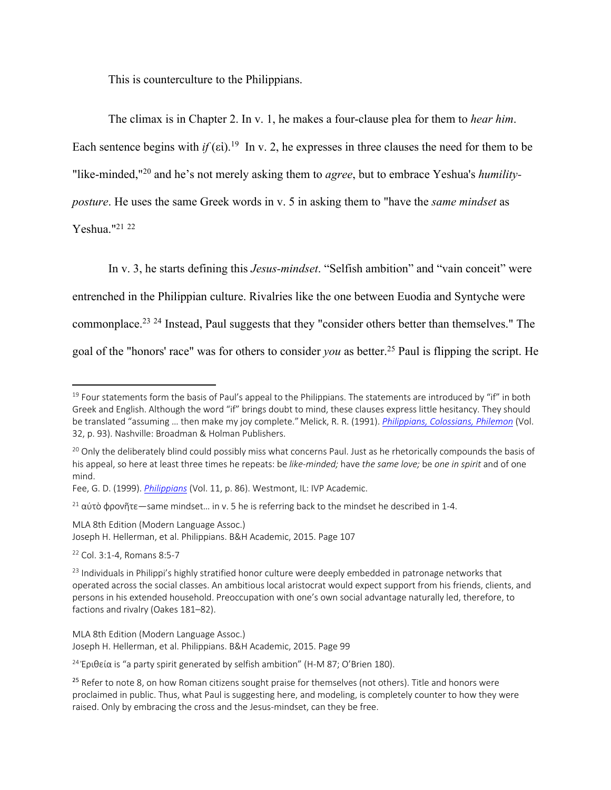This is counterculture to the Philippians.

The climax is in Chapter 2. In v. 1, he makes a four-clause plea for them to *hear him*. Each sentence begins with *if* ( $\varepsilon$ i).<sup>19</sup> In v. 2, he expresses in three clauses the need for them to be "like-minded,"20 and he's not merely asking them to *agree*, but to embrace Yeshua's *humilityposture*. He uses the same Greek words in v. 5 in asking them to "have the *same mindset* as Yeshua."21 <sup>22</sup>

In v. 3, he starts defining this *Jesus-mindset*. "Selfish ambition" and "vain conceit" were entrenched in the Philippian culture. Rivalries like the one between Euodia and Syntyche were commonplace.23 <sup>24</sup> Instead, Paul suggests that they "consider others better than themselves." The goal of the "honors' race" was for others to consider *you* as better.25 Paul is flipping the script. He

MLA 8th Edition (Modern Language Assoc.) Joseph H. Hellerman, et al. Philippians. B&H Academic, 2015. Page 107

<sup>22</sup> Col. 3:1-4, Romans 8:5-7

 $19$  Four statements form the basis of Paul's appeal to the Philippians. The statements are introduced by "if" in both Greek and English. Although the word "if" brings doubt to mind, these clauses express little hesitancy. They should be translated "assuming … then make my joy complete."Melick, R. R. (1991). *Philippians, Colossians, Philemon* (Vol. 32, p. 93). Nashville: Broadman & Holman Publishers.

<sup>&</sup>lt;sup>20</sup> Only the deliberately blind could possibly miss what concerns Paul. Just as he rhetorically compounds the basis of his appeal, so here at least three times he repeats: be *like-minded;* have *the same love;* be *one in spirit* and of one mind.

Fee, G. D. (1999). *Philippians* (Vol. 11, p. 86). Westmont, IL: IVP Academic.

<sup>&</sup>lt;sup>21</sup> αύτὸ φρονῆτε—same mindset... in v. 5 he is referring back to the mindset he described in 1-4.

<sup>&</sup>lt;sup>23</sup> Individuals in Philippi's highly stratified honor culture were deeply embedded in patronage networks that operated across the social classes. An ambitious local aristocrat would expect support from his friends, clients, and persons in his extended household. Preoccupation with one's own social advantage naturally led, therefore, to factions and rivalry (Oakes 181–82).

MLA 8th Edition (Modern Language Assoc.) Joseph H. Hellerman, et al. Philippians. B&H Academic, 2015. Page 99

<sup>&</sup>lt;sup>24</sup> Έριθεία is "a party spirit generated by selfish ambition" (H-M 87; O'Brien 180).

<sup>&</sup>lt;sup>25</sup> Refer to note 8, on how Roman citizens sought praise for themselves (not others). Title and honors were proclaimed in public. Thus, what Paul is suggesting here, and modeling, is completely counter to how they were raised. Only by embracing the cross and the Jesus-mindset, can they be free.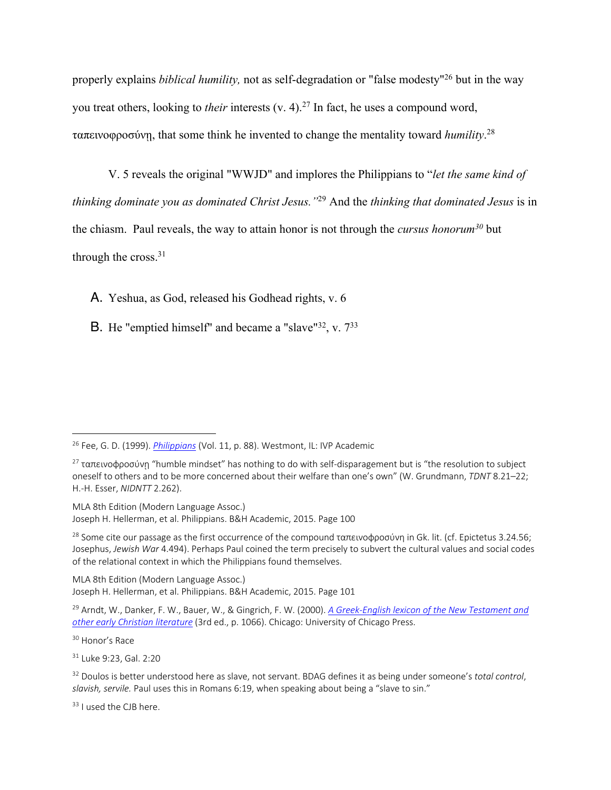properly explains *biblical humility,* not as self-degradation or "false modesty"26 but in the way you treat others, looking to *their* interests (v. 4).<sup>27</sup> In fact, he uses a compound word, ταπεινοφροσύνῃ, that some think he invented to change the mentality toward *humility*. 28

V. 5 reveals the original "WWJD" and implores the Philippians to "*let the same kind of thinking dominate you as dominated Christ Jesus."*<sup>29</sup> And the *thinking that dominated Jesus* is in the chiasm. Paul reveals, the way to attain honor is not through the *cursus honorum30* but through the cross.<sup>31</sup>

A. Yeshua, as God, released his Godhead rights, v. 6

**B**. He "emptied himself" and became a "slave"<sup>32</sup>, v.  $7^{33}$ 

MLA 8th Edition (Modern Language Assoc.) Joseph H. Hellerman, et al. Philippians. B&H Academic, 2015. Page 100

<sup>28</sup> Some cite our passage as the first occurrence of the compound ταπεινοφροσύνη in Gk. lit. (cf. Epictetus 3.24.56; Josephus, *Jewish War* 4.494). Perhaps Paul coined the term precisely to subvert the cultural values and social codes of the relational context in which the Philippians found themselves.

MLA 8th Edition (Modern Language Assoc.) Joseph H. Hellerman, et al. Philippians. B&H Academic, 2015. Page 101

<sup>33</sup> I used the CJB here.

<sup>26</sup> Fee, G. D. (1999). *Philippians* (Vol. 11, p. 88). Westmont, IL: IVP Academic

<sup>&</sup>lt;sup>27</sup> ταπεινοφροσύνη "humble mindset" has nothing to do with self-disparagement but is "the resolution to subject oneself to others and to be more concerned about their welfare than one's own" (W. Grundmann, *TDNT* 8.21–22; H.-H. Esser, *NIDNTT* 2.262).

<sup>29</sup> Arndt, W., Danker, F. W., Bauer, W., & Gingrich, F. W. (2000). *A Greek-English lexicon of the New Testament and other early Christian literature* (3rd ed., p. 1066). Chicago: University of Chicago Press.

<sup>30</sup> Honor's Race

<sup>31</sup> Luke 9:23, Gal. 2:20

<sup>32</sup> Doulos is better understood here as slave, not servant. BDAG defines it as being under someone's *total control*, *slavish, servile.* Paul uses this in Romans 6:19, when speaking about being a "slave to sin."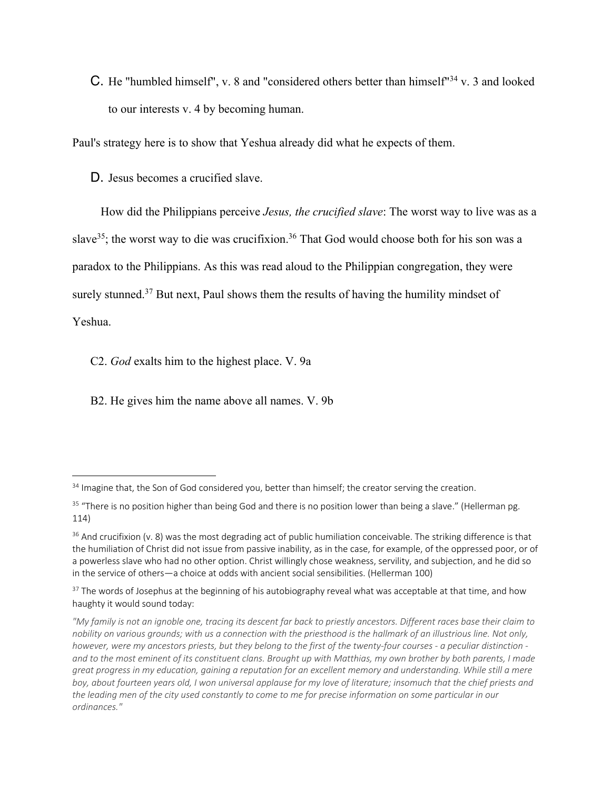C. He "humbled himself", v. 8 and "considered others better than himself"34 v. 3 and looked to our interests v. 4 by becoming human.

Paul's strategy here is to show that Yeshua already did what he expects of them.

D. Jesus becomes a crucified slave.

How did the Philippians perceive *Jesus, the crucified slave*: The worst way to live was as a slave<sup>35</sup>; the worst way to die was crucifixion.<sup>36</sup> That God would choose both for his son was a paradox to the Philippians. As this was read aloud to the Philippian congregation, they were surely stunned.<sup>37</sup> But next, Paul shows them the results of having the humility mindset of Yeshua.

C2. *God* exalts him to the highest place. V. 9a

B2. He gives him the name above all names. V. 9b

<sup>&</sup>lt;sup>34</sup> Imagine that, the Son of God considered you, better than himself; the creator serving the creation.

<sup>&</sup>lt;sup>35</sup> "There is no position higher than being God and there is no position lower than being a slave." (Hellerman pg. 114)

 $36$  And crucifixion (v. 8) was the most degrading act of public humiliation conceivable. The striking difference is that the humiliation of Christ did not issue from passive inability, as in the case, for example, of the oppressed poor, or of a powerless slave who had no other option. Christ willingly chose weakness, servility, and subjection, and he did so in the service of others—a choice at odds with ancient social sensibilities. (Hellerman 100)

<sup>&</sup>lt;sup>37</sup> The words of Josephus at the beginning of his autobiography reveal what was acceptable at that time, and how haughty it would sound today:

*<sup>&</sup>quot;My family is not an ignoble one, tracing its descent far back to priestly ancestors. Different races base their claim to nobility on various grounds; with us a connection with the priesthood is the hallmark of an illustrious line. Not only, however, were my ancestors priests, but they belong to the first of the twenty-four courses - a peculiar distinction and to the most eminent of its constituent clans. Brought up with Matthias, my own brother by both parents, I made great progress in my education, gaining a reputation for an excellent memory and understanding. While still a mere boy, about fourteen years old, I won universal applause for my love of literature; insomuch that the chief priests and the leading men of the city used constantly to come to me for precise information on some particular in our ordinances."*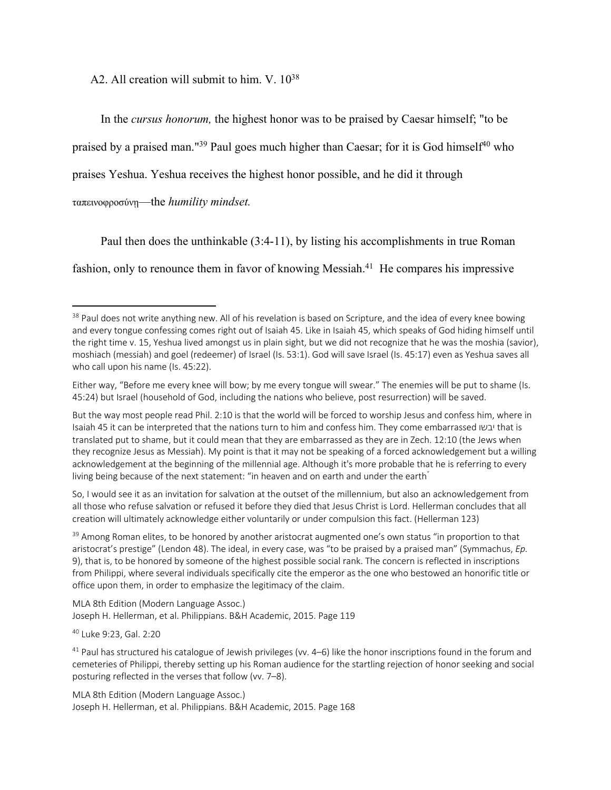A2. All creation will submit to him. V.  $10^{38}$ 

In the *cursus honorum,* the highest honor was to be praised by Caesar himself; "to be

praised by a praised man."<sup>39</sup> Paul goes much higher than Caesar; for it is God himself<sup>40</sup> who

praises Yeshua. Yeshua receives the highest honor possible, and he did it through

ταπεινοφροσύνῃ—the *humility mindset.* 

Paul then does the unthinkable (3:4-11), by listing his accomplishments in true Roman fashion, only to renounce them in favor of knowing Messiah.<sup>41</sup> He compares his impressive

So, I would see it as an invitation for salvation at the outset of the millennium, but also an acknowledgement from all those who refuse salvation or refused it before they died that Jesus Christ is Lord. Hellerman concludes that all creation will ultimately acknowledge either voluntarily or under compulsion this fact. (Hellerman 123)

<sup>39</sup> Among Roman elites, to be honored by another aristocrat augmented one's own status "in proportion to that aristocrat's prestige" (Lendon 48). The ideal, in every case, was "to be praised by a praised man" (Symmachus, *Ep.*  9), that is, to be honored by someone of the highest possible social rank. The concern is reflected in inscriptions from Philippi, where several individuals specifically cite the emperor as the one who bestowed an honorific title or office upon them, in order to emphasize the legitimacy of the claim.

MLA 8th Edition (Modern Language Assoc.) Joseph H. Hellerman, et al. Philippians. B&H Academic, 2015. Page 119

<sup>40</sup> Luke 9:23, Gal. 2:20

 $41$  Paul has structured his catalogue of Jewish privileges (vv.  $4-6$ ) like the honor inscriptions found in the forum and cemeteries of Philippi, thereby setting up his Roman audience for the startling rejection of honor seeking and social posturing reflected in the verses that follow (vv. 7–8).

MLA 8th Edition (Modern Language Assoc.) Joseph H. Hellerman, et al. Philippians. B&H Academic, 2015. Page 168

<sup>&</sup>lt;sup>38</sup> Paul does not write anything new. All of his revelation is based on Scripture, and the idea of every knee bowing and every tongue confessing comes right out of Isaiah 45. Like in Isaiah 45, which speaks of God hiding himself until the right time v. 15, Yeshua lived amongst us in plain sight, but we did not recognize that he was the moshia (savior), moshiach (messiah) and goel (redeemer) of Israel (Is. 53:1). God will save Israel (Is. 45:17) even as Yeshua saves all who call upon his name (Is. 45:22).

Either way, "Before me every knee will bow; by me every tongue will swear." The enemies will be put to shame (Is. 45:24) but Israel (household of God, including the nations who believe, post resurrection) will be saved.

But the way most people read Phil. 2:10 is that the world will be forced to worship Jesus and confess him, where in Isaiah 45 it can be interpreted that the nations turn to him and confess him. They come embarrassed ושבי that is translated put to shame, but it could mean that they are embarrassed as they are in Zech. 12:10 (the Jews when they recognize Jesus as Messiah). My point is that it may not be speaking of a forced acknowledgement but a willing acknowledgement at the beginning of the millennial age. Although it's more probable that he is referring to every living being because of the next statement: "in heaven and on earth and under the earth"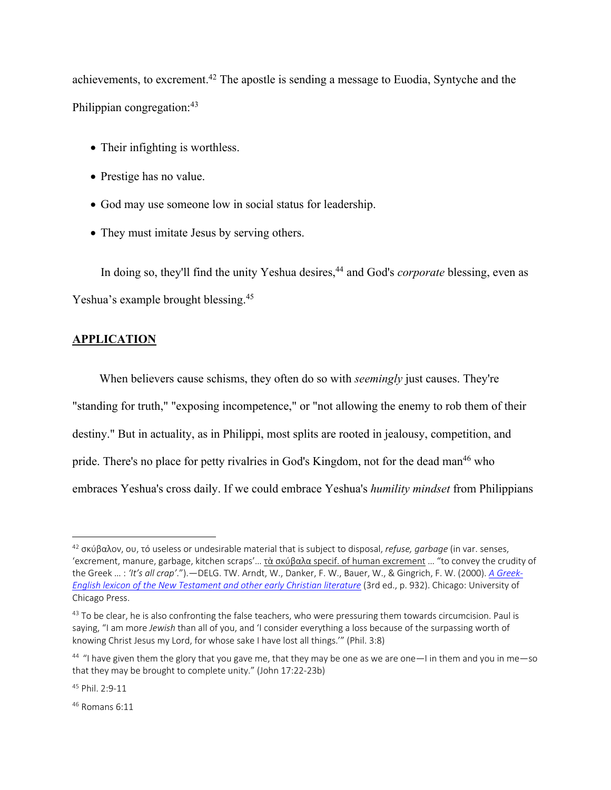achievements, to excrement.42 The apostle is sending a message to Euodia, Syntyche and the Philippian congregation:<sup>43</sup>

- Their infighting is worthless.
- Prestige has no value.
- God may use someone low in social status for leadership.
- They must imitate Jesus by serving others.

In doing so, they'll find the unity Yeshua desires,<sup>44</sup> and God's *corporate* blessing, even as Yeshua's example brought blessing.<sup>45</sup>

### **APPLICATION**

 When believers cause schisms, they often do so with *seemingly* just causes. They're "standing for truth," "exposing incompetence," or "not allowing the enemy to rob them of their destiny." But in actuality, as in Philippi, most splits are rooted in jealousy, competition, and pride. There's no place for petty rivalries in God's Kingdom, not for the dead man<sup>46</sup> who embraces Yeshua's cross daily. If we could embrace Yeshua's *humility mindset* from Philippians

 $46$  Romans 6:11

<sup>42</sup> σκύβαλον, ου, τό useless or undesirable material that is subject to disposal, *refuse, garbage* (in var. senses, 'excrement, manure, garbage, kitchen scraps'… τὰ σκύβαλα specif. of human excrement … "to convey the crudity of the Greek … : *'It's all crap'*.").—DELG. TW. Arndt, W., Danker, F. W., Bauer, W., & Gingrich, F. W. (2000). *A Greek-English lexicon of the New Testament and other early Christian literature* (3rd ed., p. 932). Chicago: University of Chicago Press.

<sup>&</sup>lt;sup>43</sup> To be clear, he is also confronting the false teachers, who were pressuring them towards circumcision. Paul is saying, "I am more *Jewish* than all of you, and 'I consider everything a loss because of the surpassing worth of knowing Christ Jesus my Lord, for whose sake I have lost all things.'" (Phil. 3:8)

 $44$  "I have given them the glory that you gave me, that they may be one as we are one—I in them and you in me—so that they may be brought to complete unity." (John 17:22-23b)

<sup>45</sup> Phil. 2:9-11